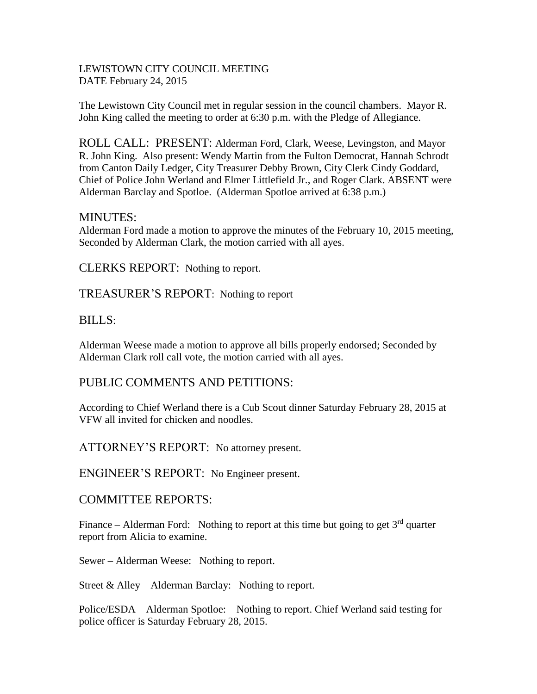### LEWISTOWN CITY COUNCIL MEETING DATE February 24, 2015

The Lewistown City Council met in regular session in the council chambers. Mayor R. John King called the meeting to order at 6:30 p.m. with the Pledge of Allegiance.

ROLL CALL: PRESENT: Alderman Ford, Clark, Weese, Levingston, and Mayor R. John King. Also present: Wendy Martin from the Fulton Democrat, Hannah Schrodt from Canton Daily Ledger, City Treasurer Debby Brown, City Clerk Cindy Goddard, Chief of Police John Werland and Elmer Littlefield Jr., and Roger Clark. ABSENT were Alderman Barclay and Spotloe. (Alderman Spotloe arrived at 6:38 p.m.)

## MINUTES:

Alderman Ford made a motion to approve the minutes of the February 10, 2015 meeting, Seconded by Alderman Clark, the motion carried with all ayes.

CLERKS REPORT: Nothing to report.

TREASURER'S REPORT: Nothing to report

## BILLS:

Alderman Weese made a motion to approve all bills properly endorsed; Seconded by Alderman Clark roll call vote, the motion carried with all ayes.

## PUBLIC COMMENTS AND PETITIONS:

According to Chief Werland there is a Cub Scout dinner Saturday February 28, 2015 at VFW all invited for chicken and noodles.

## ATTORNEY'S REPORT: No attorney present.

ENGINEER'S REPORT: No Engineer present.

## COMMITTEE REPORTS:

Finance – Alderman Ford: Nothing to report at this time but going to get  $3<sup>rd</sup>$  quarter report from Alicia to examine.

Sewer – Alderman Weese: Nothing to report.

Street & Alley – Alderman Barclay: Nothing to report.

Police/ESDA – Alderman Spotloe: Nothing to report. Chief Werland said testing for police officer is Saturday February 28, 2015.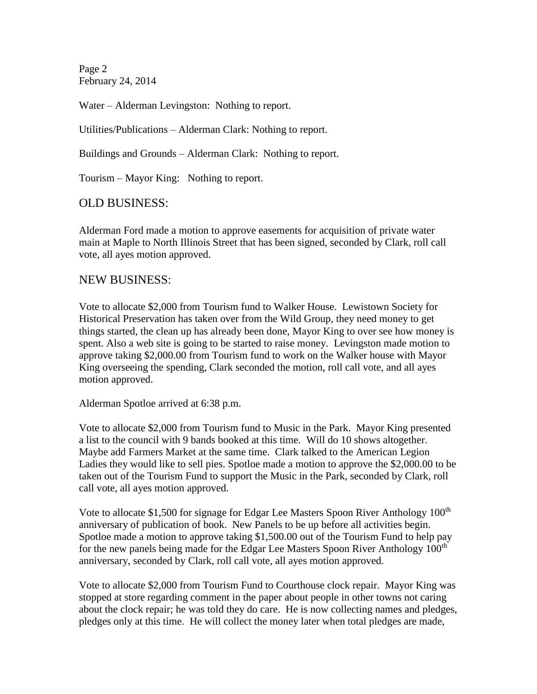Page 2 February 24, 2014

Water – Alderman Levingston: Nothing to report.

Utilities/Publications – Alderman Clark: Nothing to report.

Buildings and Grounds – Alderman Clark: Nothing to report.

Tourism – Mayor King: Nothing to report.

OLD BUSINESS:

Alderman Ford made a motion to approve easements for acquisition of private water main at Maple to North Illinois Street that has been signed, seconded by Clark, roll call vote, all ayes motion approved.

### NEW BUSINESS:

Vote to allocate \$2,000 from Tourism fund to Walker House. Lewistown Society for Historical Preservation has taken over from the Wild Group, they need money to get things started, the clean up has already been done, Mayor King to over see how money is spent. Also a web site is going to be started to raise money. Levingston made motion to approve taking \$2,000.00 from Tourism fund to work on the Walker house with Mayor King overseeing the spending, Clark seconded the motion, roll call vote, and all ayes motion approved.

Alderman Spotloe arrived at 6:38 p.m.

Vote to allocate \$2,000 from Tourism fund to Music in the Park. Mayor King presented a list to the council with 9 bands booked at this time. Will do 10 shows altogether. Maybe add Farmers Market at the same time. Clark talked to the American Legion Ladies they would like to sell pies. Spotloe made a motion to approve the \$2,000.00 to be taken out of the Tourism Fund to support the Music in the Park, seconded by Clark, roll call vote, all ayes motion approved.

Vote to allocate \$1,500 for signage for Edgar Lee Masters Spoon River Anthology 100<sup>th</sup> anniversary of publication of book. New Panels to be up before all activities begin. Spotloe made a motion to approve taking \$1,500.00 out of the Tourism Fund to help pay for the new panels being made for the Edgar Lee Masters Spoon River Anthology 100<sup>th</sup> anniversary, seconded by Clark, roll call vote, all ayes motion approved.

Vote to allocate \$2,000 from Tourism Fund to Courthouse clock repair. Mayor King was stopped at store regarding comment in the paper about people in other towns not caring about the clock repair; he was told they do care. He is now collecting names and pledges, pledges only at this time. He will collect the money later when total pledges are made,